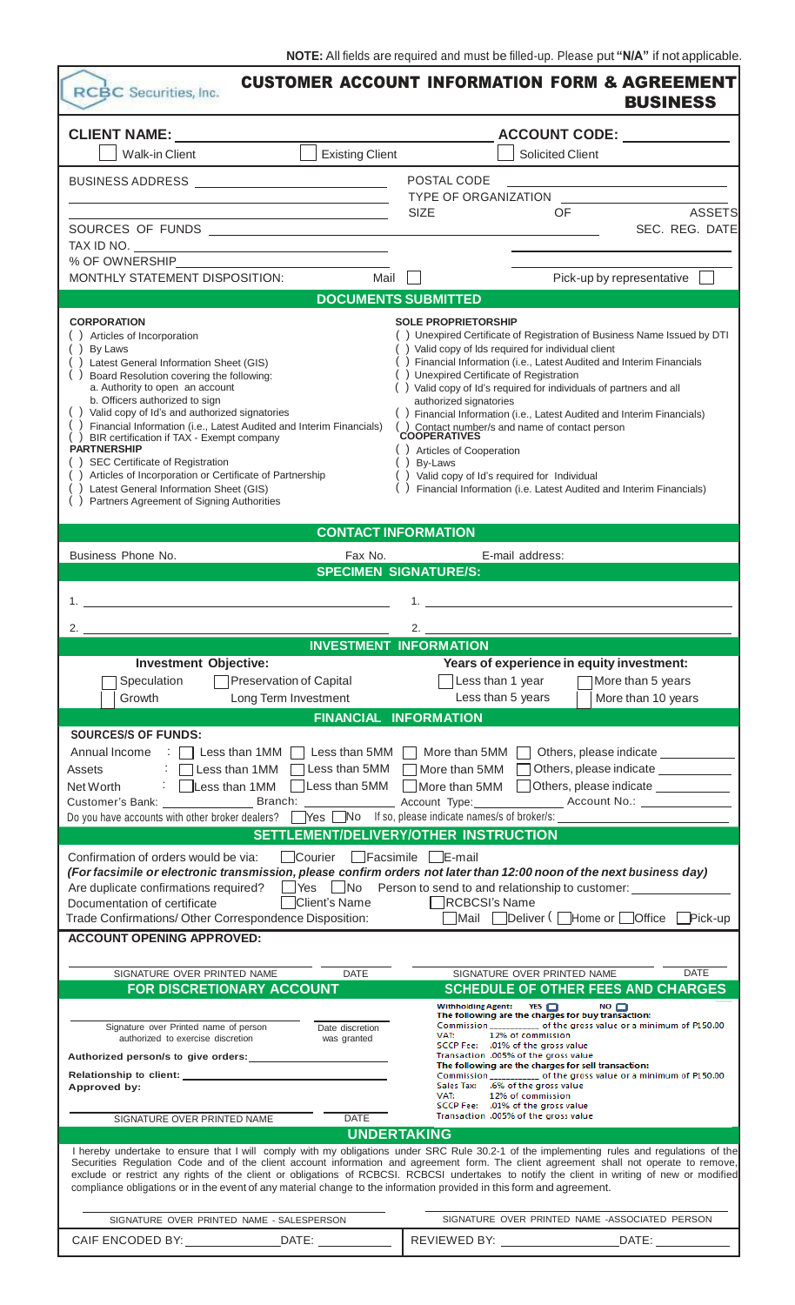| RCBC Securities, Inc.                                                                                            |                                                            | <b>CUSTOMER ACCOUNT INFORMATION FORM &amp; AGREEMENT</b>                                                                                                                                                                                                                                                                                                                                                                                                                                                                                                     | <b>BUSINESS</b>                                                                           |
|------------------------------------------------------------------------------------------------------------------|------------------------------------------------------------|--------------------------------------------------------------------------------------------------------------------------------------------------------------------------------------------------------------------------------------------------------------------------------------------------------------------------------------------------------------------------------------------------------------------------------------------------------------------------------------------------------------------------------------------------------------|-------------------------------------------------------------------------------------------|
| CLIENT NAME: ________                                                                                            |                                                            |                                                                                                                                                                                                                                                                                                                                                                                                                                                                                                                                                              |                                                                                           |
| <b>Walk-in Client</b>                                                                                            | <b>Existing Client</b>                                     | <b>Solicited Client</b>                                                                                                                                                                                                                                                                                                                                                                                                                                                                                                                                      |                                                                                           |
| BUSINESS ADDRESS _____________________________                                                                   |                                                            | POSTAL CODE                                                                                                                                                                                                                                                                                                                                                                                                                                                                                                                                                  |                                                                                           |
|                                                                                                                  | <u> 1989 - Johann Barn, amerikansk politiker (</u>         |                                                                                                                                                                                                                                                                                                                                                                                                                                                                                                                                                              | the control of the control of the control of the control of the control of the control of |
|                                                                                                                  | <u> 1989 - Johann Barn, amerikansk politiker (d. 1989)</u> | OF<br><b>SIZE</b>                                                                                                                                                                                                                                                                                                                                                                                                                                                                                                                                            | <b>ASSETS</b>                                                                             |
|                                                                                                                  |                                                            |                                                                                                                                                                                                                                                                                                                                                                                                                                                                                                                                                              | SEC. REG. DATE                                                                            |
| TAX ID NO. $\qquad \qquad$                                                                                       |                                                            |                                                                                                                                                                                                                                                                                                                                                                                                                                                                                                                                                              |                                                                                           |
| MONTHLY STATEMENT DISPOSITION:                                                                                   | Mail                                                       |                                                                                                                                                                                                                                                                                                                                                                                                                                                                                                                                                              | Pick-up by representative                                                                 |
|                                                                                                                  | <b>DOCUMENTS SUBMITTED</b>                                 |                                                                                                                                                                                                                                                                                                                                                                                                                                                                                                                                                              |                                                                                           |
| <b>CORPORATION</b>                                                                                               |                                                            | <b>SOLE PROPRIETORSHIP</b>                                                                                                                                                                                                                                                                                                                                                                                                                                                                                                                                   |                                                                                           |
| () Articles of Incorporation                                                                                     |                                                            | () Unexpired Certificate of Registration of Business Name Issued by DTI                                                                                                                                                                                                                                                                                                                                                                                                                                                                                      |                                                                                           |
| ( ) By Laws<br>() Latest General Information Sheet (GIS)                                                         |                                                            | () Valid copy of Ids required for individual client<br>() Financial Information (i.e., Latest Audited and Interim Financials                                                                                                                                                                                                                                                                                                                                                                                                                                 |                                                                                           |
| Board Resolution covering the following:                                                                         |                                                            | Unexpired Certificate of Registration                                                                                                                                                                                                                                                                                                                                                                                                                                                                                                                        |                                                                                           |
| a. Authority to open an account                                                                                  |                                                            | () Valid copy of Id's required for individuals of partners and all                                                                                                                                                                                                                                                                                                                                                                                                                                                                                           |                                                                                           |
| b. Officers authorized to sign<br>() Valid copy of Id's and authorized signatories                               |                                                            | authorized signatories<br>() Financial Information (i.e., Latest Audited and Interim Financials)                                                                                                                                                                                                                                                                                                                                                                                                                                                             |                                                                                           |
| Financial Information (i.e., Latest Audited and Interim Financials)<br>BIR certification if TAX - Exempt company |                                                            | () Contact number/s and name of contact person<br>COOPERATIVES                                                                                                                                                                                                                                                                                                                                                                                                                                                                                               |                                                                                           |
| <b>PARTNERSHIP</b>                                                                                               |                                                            | () Articles of Cooperation                                                                                                                                                                                                                                                                                                                                                                                                                                                                                                                                   |                                                                                           |
| SEC Certificate of Registration<br>Articles of Incorporation or Certificate of Partnership                       |                                                            | By-Laws<br>) Valid copy of Id's required for Individual                                                                                                                                                                                                                                                                                                                                                                                                                                                                                                      |                                                                                           |
| Latest General Information Sheet (GIS)                                                                           |                                                            | Financial Information (i.e. Latest Audited and Interim Financials)                                                                                                                                                                                                                                                                                                                                                                                                                                                                                           |                                                                                           |
| () Partners Agreement of Signing Authorities                                                                     |                                                            |                                                                                                                                                                                                                                                                                                                                                                                                                                                                                                                                                              |                                                                                           |
|                                                                                                                  | <b>CONTACT INFORMATION</b>                                 |                                                                                                                                                                                                                                                                                                                                                                                                                                                                                                                                                              |                                                                                           |
| Business Phone No.                                                                                               | Fax No.                                                    | E-mail address:                                                                                                                                                                                                                                                                                                                                                                                                                                                                                                                                              |                                                                                           |
|                                                                                                                  | <b>SPECIMEN SIGNATURE/S:</b>                               |                                                                                                                                                                                                                                                                                                                                                                                                                                                                                                                                                              |                                                                                           |
|                                                                                                                  |                                                            |                                                                                                                                                                                                                                                                                                                                                                                                                                                                                                                                                              |                                                                                           |
|                                                                                                                  |                                                            | 1.                                                                                                                                                                                                                                                                                                                                                                                                                                                                                                                                                           |                                                                                           |
| 2.                                                                                                               |                                                            | 2.                                                                                                                                                                                                                                                                                                                                                                                                                                                                                                                                                           |                                                                                           |
|                                                                                                                  | <b>INVESTMENT INFORMATION</b>                              |                                                                                                                                                                                                                                                                                                                                                                                                                                                                                                                                                              |                                                                                           |
| <b>Investment Objective:</b>                                                                                     |                                                            | Years of experience in equity investment:                                                                                                                                                                                                                                                                                                                                                                                                                                                                                                                    |                                                                                           |
| Speculation<br>Growth                                                                                            | <b>Preservation of Capital</b>                             | Less than 1 year<br>Less than 5 years                                                                                                                                                                                                                                                                                                                                                                                                                                                                                                                        | More than 5 years                                                                         |
|                                                                                                                  | Long Term Investment<br><b>FINANCIAL INFORMATION</b>       |                                                                                                                                                                                                                                                                                                                                                                                                                                                                                                                                                              | More than 10 years                                                                        |
| <b>SOURCES/S OF FUNDS:</b>                                                                                       |                                                            |                                                                                                                                                                                                                                                                                                                                                                                                                                                                                                                                                              |                                                                                           |
| Annual Income                                                                                                    |                                                            | $\Box$ Less than 1MM $\Box$ Less than 5MM $\Box$ More than 5MM $\Box$ Others, please indicate $\Box$                                                                                                                                                                                                                                                                                                                                                                                                                                                         |                                                                                           |
| Assets                                                                                                           | Less than 1MM [                                            | □ Less than 5MM □ More than 5MM □ Others, please indicate _______                                                                                                                                                                                                                                                                                                                                                                                                                                                                                            |                                                                                           |
| Net Worth                                                                                                        | $\Box$ Less than 5MM<br>Less than 1MM                      | $\Box$ More than 5MM                                                                                                                                                                                                                                                                                                                                                                                                                                                                                                                                         | Others, please indicate                                                                   |
|                                                                                                                  |                                                            | Account Type: ______________________ Account No.: ______________________________                                                                                                                                                                                                                                                                                                                                                                                                                                                                             |                                                                                           |
| Do you have accounts with other broker dealers?<br>TYes No If so, please indicate names/s of broker/s:           |                                                            |                                                                                                                                                                                                                                                                                                                                                                                                                                                                                                                                                              |                                                                                           |
|                                                                                                                  |                                                            | SETTLEMENT/DELIVERY/OTHER INSTRUCTION                                                                                                                                                                                                                                                                                                                                                                                                                                                                                                                        |                                                                                           |
| Confirmation of orders would be via:                                                                             | Courier Facsimile E-mail                                   | (For facsimile or electronic transmission, please confirm orders not later than 12:00 noon of the next business day)                                                                                                                                                                                                                                                                                                                                                                                                                                         |                                                                                           |
|                                                                                                                  |                                                            | Are duplicate confirmations required?<br>TYes No Person to send to and relationship to customer:                                                                                                                                                                                                                                                                                                                                                                                                                                                             |                                                                                           |
| Documentation of certificate                                                                                     | □Client's Name                                             | RCBCSI's Name                                                                                                                                                                                                                                                                                                                                                                                                                                                                                                                                                |                                                                                           |
| Trade Confirmations/ Other Correspondence Disposition:                                                           |                                                            | ■Mail ■Deliver ( ■Home or ■Office ■Pick-up                                                                                                                                                                                                                                                                                                                                                                                                                                                                                                                   |                                                                                           |
| <b>ACCOUNT OPENING APPROVED:</b>                                                                                 |                                                            |                                                                                                                                                                                                                                                                                                                                                                                                                                                                                                                                                              |                                                                                           |
| SIGNATURE OVER PRINTED NAME                                                                                      | <b>DATE</b>                                                | SIGNATURE OVER PRINTED NAME                                                                                                                                                                                                                                                                                                                                                                                                                                                                                                                                  | <b>DATE</b>                                                                               |
| FOR DISCRETIONARY ACCOUNT                                                                                        |                                                            | <b>SCHEDULE OF OTHER FEES AND CHARGES</b>                                                                                                                                                                                                                                                                                                                                                                                                                                                                                                                    |                                                                                           |
|                                                                                                                  |                                                            | Withholding Agent: YES                                                                                                                                                                                                                                                                                                                                                                                                                                                                                                                                       | $\mathsf{no} \sqcap$                                                                      |
| Signature over Printed name of person                                                                            | Date discretion                                            | The following are the charges for buy transaction:<br>Commission ____________ of the gross value or a minimum of P150.00                                                                                                                                                                                                                                                                                                                                                                                                                                     |                                                                                           |
| authorized to exercise discretion                                                                                | was granted                                                | 12% of commission<br>VAT:<br>SCCP Fee: .01% of the gross value                                                                                                                                                                                                                                                                                                                                                                                                                                                                                               |                                                                                           |
| Authorized person/s to give orders:                                                                              |                                                            | Transaction .005% of the gross value<br>The following are the charges for sell transaction:                                                                                                                                                                                                                                                                                                                                                                                                                                                                  |                                                                                           |
|                                                                                                                  |                                                            | Commission of the gross value or a minimum of P150.00<br>Sales Tax: .6% of the gross value                                                                                                                                                                                                                                                                                                                                                                                                                                                                   |                                                                                           |
| Approved by:                                                                                                     |                                                            | VAT:<br>12% of commission<br>SCCP Fee: .01% of the gross value                                                                                                                                                                                                                                                                                                                                                                                                                                                                                               |                                                                                           |
| SIGNATURE OVER PRINTED NAME                                                                                      | <b>DATE</b>                                                | Transaction .005% of the gross value                                                                                                                                                                                                                                                                                                                                                                                                                                                                                                                         |                                                                                           |
|                                                                                                                  | <b>UNDERTAKING</b>                                         |                                                                                                                                                                                                                                                                                                                                                                                                                                                                                                                                                              |                                                                                           |
|                                                                                                                  |                                                            | I hereby undertake to ensure that I will comply with my obligations under SRC Rule 30.2-1 of the implementing rules and regulations of the<br>Securities Regulation Code and of the client account information and agreement form. The client agreement shall not operate to remove,<br>exclude or restrict any rights of the client or obligations of RCBCSI. RCBCSI undertakes to notify the client in writing of new or modified<br>compliance obligations or in the event of any material change to the information provided in this form and agreement. |                                                                                           |
| SIGNATURE OVER PRINTED NAME - SALESPERSON                                                                        |                                                            | SIGNATURE OVER PRINTED NAME -ASSOCIATED PERSON                                                                                                                                                                                                                                                                                                                                                                                                                                                                                                               |                                                                                           |
|                                                                                                                  |                                                            |                                                                                                                                                                                                                                                                                                                                                                                                                                                                                                                                                              |                                                                                           |
|                                                                                                                  |                                                            |                                                                                                                                                                                                                                                                                                                                                                                                                                                                                                                                                              |                                                                                           |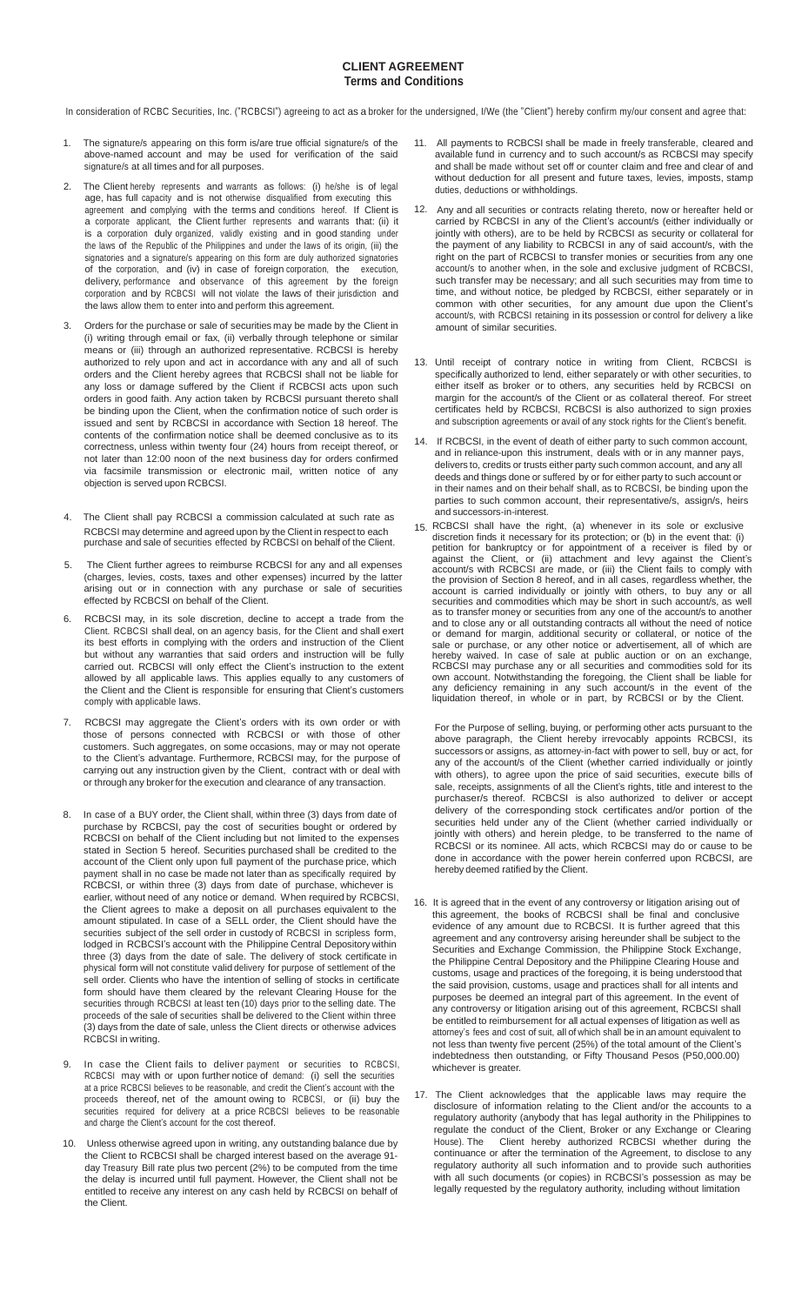#### **CLIENT AGREEMENT Terms and Conditions**

In consideration of RCBC Securities, Inc. ("RCBCSI") agreeing to act as a broker for the undersigned, I/We (the "Client") hereby confirm my/our consent and agree that:

- 1. The signature/s appearing on this form is/are true official signature/s of the above-named account and may be used for verification of the said signature/s at all times and for all purposes.
- 2. The Client hereby represents and warrants as follows: (i) he/she is of legal age, has full capacity and is not otherwise disqualified from executing this agreement and complying with the terms and conditions hereof. If Client is a corporate applicant, the Client further represents and warrants that: (ii) it is a corporation duly organized, validly existing and in good standing under the laws of the Republic of the Philippines and under the laws of its origin, (iii) the signatories and a signature/s appearing on this form are duly authorized signatories of the corporation, and (iv) in case of foreign corporation, the execution, delivery, performance and observance of this agreement by the foreign corporation and by RCBCSI will not violate the laws of their jurisdiction and the laws allow them to enter into and perform this agreement.
- Orders for the purchase or sale of securities may be made by the Client in (i) writing through email or fax, (ii) verbally through telephone or similar means or (iii) through an authorized representative. RCBCSI is hereby authorized to rely upon and act in accordance with any and all of such orders and the Client hereby agrees that RCBCSI shall not be liable for any loss or damage suffered by the Client if RCBCSI acts upon such orders in good faith. Any action taken by RCBCSI pursuant thereto shall be binding upon the Client, when the confirmation notice of such order is issued and sent by RCBCSI in accordance with Section 18 hereof. The contents of the confirmation notice shall be deemed conclusive as to its correctness, unless within twenty four (24) hours from receipt thereof, or not later than 12:00 noon of the next business day for orders confirmed via facsimile transmission or electronic mail, written notice of any objection is served upon RCBCSI.
- 4. The Client shall pay RCBCSI a commission calculated at such rate as RCBCSI may determine and agreed upon by the Client in respect to each purchase and sale of securities effected by RCBCSI on behalf of the Client.
- The Client further agrees to reimburse RCBCSI for any and all expenses (charges, levies, costs, taxes and other expenses) incurred by the latter arising out or in connection with any purchase or sale of securities effected by RCBCSI on behalf of the Client.
- RCBCSI may, in its sole discretion, decline to accept a trade from the Client. RCBCSI shall deal, on an agency basis, for the Client and shall exert its best efforts in complying with the orders and instruction of the Client but without any warranties that said orders and instruction will be fully carried out. RCBCSI will only effect the Client's instruction to the extent allowed by all applicable laws. This applies equally to any customers of the Client and the Client is responsible for ensuring that Client's customers comply with applicable laws.
- RCBCSI may aggregate the Client's orders with its own order or with those of persons connected with RCBCSI or with those of other customers. Such aggregates, on some occasions, may or may not operate to the Client's advantage. Furthermore, RCBCSI may, for the purpose of carrying out any instruction given by the Client, contract with or deal with or through any broker for the execution and clearance of any transaction.
- 8. In case of a BUY order, the Client shall, within three (3) days from date of purchase by RCBCSI, pay the cost of securities bought or ordered by RCBCSI on behalf of the Client including but not limited to the expenses stated in Section 5 hereof. Securities purchased shall be credited to the account of the Client only upon full payment of the purchase price, which payment shall in no case be made not later than as specifically required by RCBCSI, or within three (3) days from date of purchase, whichever is earlier, without need of any notice or demand. When required by RCBCSI, the Client agrees to make a deposit on all purchases equivalent to the amount stipulated. In case of a SELL order, the Client should have the securities subject of the sell order in custody of RCBCSI in scripless form, lodged in RCBCSI's account with the Philippine Central Depository within three (3) days from the date of sale. The delivery of stock certificate in physical form will not constitute valid delivery for purpose of settlement of the sell order. Clients who have the intention of selling of stocks in certificate form should have them cleared by the relevant Clearing House for the securities through RCBCSI at least ten (10) days prior to the selling date. The proceeds of the sale of securities shall be delivered to the Client within three (3) days from the date of sale, unless the Client directs or otherwise advices RCBCSI in writing.
- 9. In case the Client fails to deliver payment or securities to RCBCSI, RCBCSI may with or upon further notice of demand: (i) sell the securities at a price RCBCSI believes to be reasonable, and credit the Client's account with the proceeds thereof, net of the amount owing to RCBCSI, or (ii) buy the securities required for delivery at a price RCBCSI believes to be reasonable and charge the Client's account for the cost thereof.
- 10. Unless otherwise agreed upon in writing, any outstanding balance due by the Client to RCBCSI shall be charged interest based on the average 91 day Treasury Bill rate plus two percent (2%) to be computed from the time the delay is incurred until full payment. However, the Client shall not be entitled to receive any interest on any cash held by RCBCSI on behalf of the Client.
- 11. All payments to RCBCSI shall be made in freely transferable, cleared and available fund in currency and to such account/s as RCBCSI may specify and shall be made without set off or counter claim and free and clear of and without deduction for all present and future taxes, levies, imposts, stamp duties, deductions or withholdings.
- 12. Any and all securities or contracts relating thereto, now or hereafter held or carried by RCBCSI in any of the Client's account/s (either individually or jointly with others), are to be held by RCBCSI as security or collateral for the payment of any liability to RCBCSI in any of said account/s, with the right on the part of RCBCSI to transfer monies or securities from any one account/s to another when, in the sole and exclusive judgment of RCBCSI, such transfer may be necessary; and all such securities may from time to time, and without notice, be pledged by RCBCSI, either separately or in common with other securities, for any amount due upon the Client's account/s, with RCBCSI retaining in its possession or control for delivery a like amount of similar securities.
- 13. Until receipt of contrary notice in writing from Client, RCBCSI is specifically authorized to lend, either separately or with other securities, to either itself as broker or to others, any securities held by RCBCSI on margin for the account/s of the Client or as collateral thereof. For street certificates held by RCBCSI, RCBCSI is also authorized to sign proxies and subscription agreements or avail of any stock rights for the Client's benefit.
- 14. If RCBCSI, in the event of death of either party to such common account, and in reliance-upon this instrument, deals with or in any manner pays, delivers to, credits or trusts either party such common account, and any all deeds and things done or suffered by or for either party to such account or in their names and on their behalf shall, as to RCBCSI, be binding upon the parties to such common account, their representative/s, assign/s, heirs and successors-in-interest.
- 15. RCBCSI shall have the right, (a) whenever in its sole or exclusive discretion finds it necessary for its protection; or (b) in the event that: (i) petition for bankruptcy or for appointment of a receiver is filed by or against the Client, or (ii) attachment and levy against the Client's account/s with RCBCSI are made, or (iii) the Client fails to comply with the provision of Section 8 hereof, and in all cases, regardless whether, the account is carried individually or jointly with others, to buy any or all securities and commodities which may be short in such account/s, as well as to transfer money or securities from any one of the account/s to another and to close any or all outstanding contracts all without the need of notice or demand for margin, additional security or collateral, or notice of the sale or purchase, or any other notice or advertisement, all of which are hereby waived. In case of sale at public auction or on an exchange, RCBCSI may purchase any or all securities and commodities sold for its own account. Notwithstanding the foregoing, the Client shall be liable for any deficiency remaining in any such account/s in the event of the liquidation thereof, in whole or in part, by RCBCSI or by the Client.

For the Purpose of selling, buying, or performing other acts pursuant to the above paragraph, the Client hereby irrevocably appoints RCBCSI, its successors or assigns, as attorney-in-fact with power to sell, buy or act, for any of the account/s of the Client (whether carried individually or jointly with others), to agree upon the price of said securities, execute bills of sale, receipts, assignments of all the Client's rights, title and interest to the purchaser/s thereof. RCBCSI is also authorized to deliver or accept delivery of the corresponding stock certificates and/or portion of the securities held under any of the Client (whether carried individually or jointly with others) and herein pledge, to be transferred to the name of RCBCSI or its nominee. All acts, which RCBCSI may do or cause to be done in accordance with the power herein conferred upon RCBCSI, are hereby deemed ratified by the Client.

- 16. It is agreed that in the event of any controversy or litigation arising out of this agreement, the books of RCBCSI shall be final and conclusive evidence of any amount due to RCBCSI. It is further agreed that this agreement and any controversy arising hereunder shall be subject to the Securities and Exchange Commission, the Philippine Stock Exchange, the Philippine Central Depository and the Philippine Clearing House and customs, usage and practices of the foregoing, it is being understood that the said provision, customs, usage and practices shall for all intents and purposes be deemed an integral part of this agreement. In the event of any controversy or litigation arising out of this agreement, RCBCSI shall be entitled to reimbursement for all actual expenses of litigation as well as attorney's fees and cost of suit, all of which shall be in an amount equivalent to not less than twenty five percent (25%) of the total amount of the Client's indebtedness then outstanding, or Fifty Thousand Pesos (P50,000.00) whichever is greater.
- 17. The Client acknowledges that the applicable laws may require the disclosure of information relating to the Client and/or the accounts to a regulatory authority (anybody that has legal authority in the Philippines to regulate the conduct of the Client, Broker or any Exchange or Clearing House). The Client hereby authorized RCBCSI whether during the continuance or after the termination of the Agreement, to disclose to any regulatory authority all such information and to provide such authorities with all such documents (or copies) in RCBCSI's possession as may be legally requested by the regulatory authority, including without limitation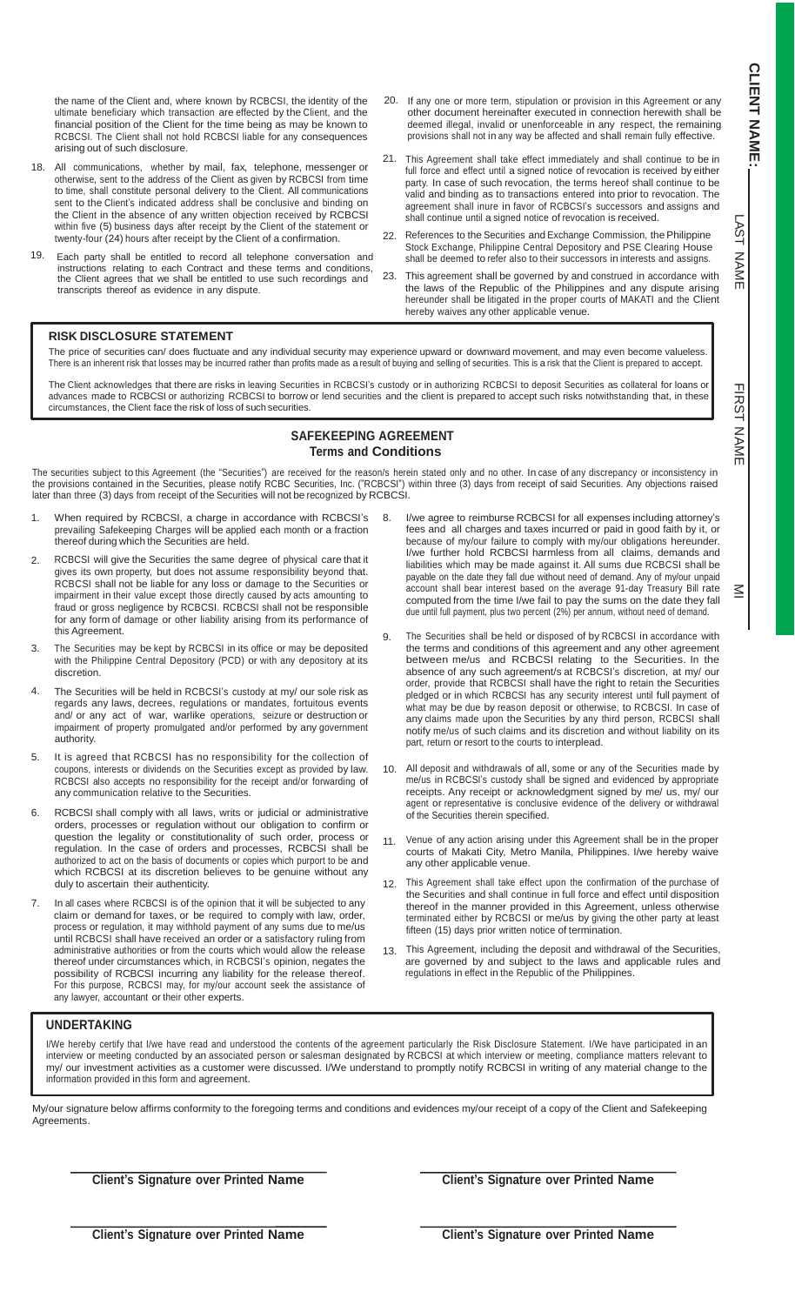L AST Z N<br>E

コヌのー Z AME

 $\leq$ 

the name of the Client and, where known by RCBCSI, the identity of the ultimate beneficiary which transaction are effected by the Client, and the financial position of the Client for the time being as may be known to RCBCSI. The Client shall not hold RCBCSI liable for any consequences arising out of such disclosure.

- 18. All communications, whether by mail, fax, telephone, messenger or otherwise, sent to the address of the Client as given by RCBCSI from time to time, shall constitute personal delivery to the Client. All communications sent to the Client's indicated address shall be conclusive and binding on the Client in the absence of any written objection received by RCBCSI within five (5) business days after receipt by the Client of the statement or twenty-four (24) hours after receipt by the Client of a confirmation.
- 19. Each party shall be entitled to record all telephone conversation and instructions relating to each Contract and these terms and conditions, the Client agrees that we shall be entitled to use such recordings and transcripts thereof as evidence in any dispute.
- 20. If any one or more term, stipulation or provision in this Agreement or any other document hereinafter executed in connection herewith shall be deemed illegal, invalid or unenforceable in any respect, the remaining provisions shall not in any way be affected and shall remain fully effective.
- 21. This Agreement shall take effect immediately and shall continue to be in full force and effect until a signed notice of revocation is received by either party. In case of such revocation, the terms hereof shall continue to be valid and binding as to transactions entered into prior to revocation. The agreement shall inure in favor of RCBCSI's successors and assigns and shall continue until a signed notice of revocation is received.
- 22. References to the Securities and Exchange Commission, the Philippine Stock Exchange, Philippine Central Depository and PSE Clearing House shall be deemed to refer also to their successors in interests and assigns.
- 23. This agreement shall be governed by and construed in accordance with the laws of the Republic of the Philippines and any dispute arising hereunder shall be litigated in the proper courts of MAKATI and the Client hereby waives any other applicable venue.

#### **RISK DISCLOSURE STATEMENT**

The price of securities can/ does fluctuate and any individual security may experience upward or downward movement, and may even become valueless. There is an inherent risk that losses may be incurred rather than profits made as a result of buying and selling of securities. This is a risk that the Client is prepared to accept.

The Client acknowledges that there are risks in leaving Securities in RCBCSI's custody or in authorizing RCBCSI to deposit Securities as collateral for loans or advances made to RCBCSI or authorizing RCBCSI to borrow or lend securities and the client is prepared to accept such risks notwithstanding that, in these circumstances, the Client face the risk of loss of such securities.

## **SAFEKEEPING AGREEMENT Terms and Conditions**

The securities subject to this Agreement (the "Securities") are received for the reason/s herein stated only and no other. In case of any discrepancy or inconsistency in the provisions contained in the Securities, please notify RCBC Securities, Inc. ("RCBCSI") within three (3) days from receipt of said Securities. Any objections raised later than three (3) days from receipt of the Securities will not be recognized by RCBCSI.

- 1. When required by RCBCSI, a charge in accordance with RCBCSI's prevailing Safekeeping Charges will be applied each month or a fraction thereof during which the Securities are held.
- 2. RCBCSI will give the Securities the same degree of physical care that it gives its own property, but does not assume responsibility beyond that. RCBCSI shall not be liable for any loss or damage to the Securities or impairment in their value except those directly caused by acts amounting to fraud or gross negligence by RCBCSI. RCBCSI shall not be responsible for any form of damage or other liability arising from its performance of this Agreement.
- The Securities may be kept by RCBCSI in its office or may be deposited with the Philippine Central Depository (PCD) or with any depository at its discretion.
- 4. The Securities will be held in RCBCSI's custody at my/ our sole risk as regards any laws, decrees, regulations or mandates, fortuitous events and/ or any act of war, warlike operations, seizure or destruction or impairment of property promulgated and/or performed by any government authority.
- 5. It is agreed that RCBCSI has no responsibility for the collection of coupons, interests or dividends on the Securities except as provided by law. RCBCSI also accepts no responsibility for the receipt and/or forwarding of any communication relative to the Securities.
- 6. RCBCSI shall comply with all laws, writs or judicial or administrative orders, processes or regulation without our obligation to confirm or question the legality or constitutionality of such order, process or regulation. In the case of orders and processes, RCBCSI shall be authorized to act on the basis of documents or copies which purport to be and which RCBCSI at its discretion believes to be genuine without any duly to ascertain their authenticity.
- 7. In all cases where RCBCSI is of the opinion that it will be subjected to any claim or demand for taxes, or be required to comply with law, order, process or regulation, it may withhold payment of any sums due to me/us until RCBCSI shall have received an order or a satisfactory ruling from administrative authorities or from the courts which would allow the release thereof under circumstances which, in RCBCSI's opinion, negates the possibility of RCBCSI incurring any liability for the release thereof. For this purpose, RCBCSI may, for my/our account seek the assistance of any lawyer, accountant or their other experts.
- 8. I/we agree to reimburse RCBCSI for all expenses including attorney's fees and all charges and taxes incurred or paid in good faith by it, or because of my/our failure to comply with my/our obligations hereunder. I/we further hold RCBCSI harmless from all claims, demands and liabilities which may be made against it. All sums due RCBCSI shall be payable on the date they fall due without need of demand. Any of my/our unpaid account shall bear interest based on the average 91-day Treasury Bill rate computed from the time I/we fail to pay the sums on the date they fall due until full payment, plus two percent (2%) per annum, without need of demand.
- 9. The Securities shall be held or disposed of by RCBCSI in accordance with the terms and conditions of this agreement and any other agreement between me/us and RCBCSI relating to the Securities. In the absence of any such agreement/s at RCBCSI's discretion, at my/ our order, provide that RCBCSI shall have the right to retain the Securities pledged or in which RCBCSI has any security interest until full payment of what may be due by reason deposit or otherwise, to RCBCSI. In case of any claims made upon the Securities by any third person, RCBCSI shall notify me/us of such claims and its discretion and without liability on its part, return or resort to the courts to interplead.
- 10. All deposit and withdrawals of all, some or any of the Securities made by me/us in RCBCSI's custody shall be signed and evidenced by appropriate receipts. Any receipt or acknowledgment signed by me/ us, my/ our agent or representative is conclusive evidence of the delivery or withdrawal of the Securities therein specified.
- 11. Venue of any action arising under this Agreement shall be in the proper courts of Makati City, Metro Manila, Philippines. I/we hereby waive any other applicable venue.
- 12. This Agreement shall take effect upon the confirmation of the purchase of the Securities and shall continue in full force and effect until disposition thereof in the manner provided in this Agreement, unless otherwise terminated either by RCBCSI or me/us by giving the other party at least fifteen (15) days prior written notice of termination.
- 13. This Agreement, including the deposit and withdrawal of the Securities, are governed by and subject to the laws and applicable rules and regulations in effect in the Republic of the Philippines.

### **UNDERTAKING**

I/We hereby certify that I/we have read and understood the contents of the agreement particularly the Risk Disclosure Statement. I/We have participated in an interview or meeting conducted by an associated person or salesman designated by RCBCSI at which interview or meeting, compliance matters relevant to my/ our investment activities as a customer were discussed. I/We understand to promptly notify RCBCSI in writing of any material change to the information provided in this form and agreement.

My/our signature below affirms conformity to the foregoing terms and conditions and evidences my/our receipt of a copy of the Client and Safekeeping Agreements.

**Client's Signature over Printed Name**

**Client's Signature over Printed Name**

**Client's Signature over Printed Name**

**Client's Signature over Printed Name**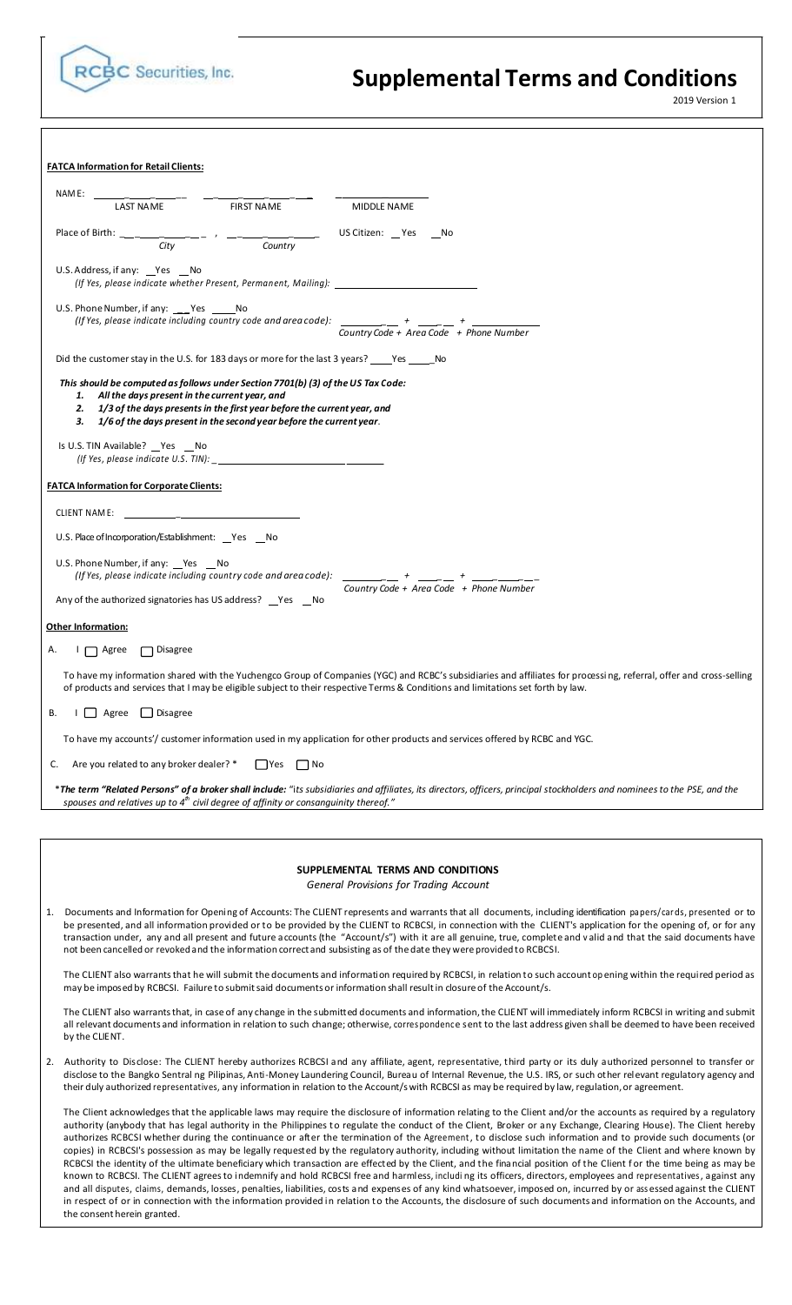

the consent herein granted.

# **Supplemental Terms and Conditions**

2019 Version 1

|    | <b>FATCA Information for Retail Clients:</b>                                                                                                                                                                                                                                                                                     |                    |                                                                                                                                                                                                                                                                                                                                                                                                                                                                                                                                                                                                                                                                                                                                                                                                                                              |
|----|----------------------------------------------------------------------------------------------------------------------------------------------------------------------------------------------------------------------------------------------------------------------------------------------------------------------------------|--------------------|----------------------------------------------------------------------------------------------------------------------------------------------------------------------------------------------------------------------------------------------------------------------------------------------------------------------------------------------------------------------------------------------------------------------------------------------------------------------------------------------------------------------------------------------------------------------------------------------------------------------------------------------------------------------------------------------------------------------------------------------------------------------------------------------------------------------------------------------|
|    | NAM E:<br>$    FIRSTM$                                                                                                                                                                                                                                                                                                           |                    |                                                                                                                                                                                                                                                                                                                                                                                                                                                                                                                                                                                                                                                                                                                                                                                                                                              |
|    | LAST NAME                                                                                                                                                                                                                                                                                                                        | <b>FIRST NAME</b>  | <b>MIDDLE NAME</b>                                                                                                                                                                                                                                                                                                                                                                                                                                                                                                                                                                                                                                                                                                                                                                                                                           |
|    | Place of Birth: ___ ____ ____ , __ ___ __ __ US Citizen: _Yes __No<br>City                                                                                                                                                                                                                                                       | Country            |                                                                                                                                                                                                                                                                                                                                                                                                                                                                                                                                                                                                                                                                                                                                                                                                                                              |
|    | U.S. Address, if any: $\_\text{Yes}$ $\_\text{No}$                                                                                                                                                                                                                                                                               |                    | (If Yes, please indicate whether Present, Permanent, Mailing):                                                                                                                                                                                                                                                                                                                                                                                                                                                                                                                                                                                                                                                                                                                                                                               |
|    | U.S. Phone Number, if any: Yes No                                                                                                                                                                                                                                                                                                |                    |                                                                                                                                                                                                                                                                                                                                                                                                                                                                                                                                                                                                                                                                                                                                                                                                                                              |
|    |                                                                                                                                                                                                                                                                                                                                  |                    | (If Yes, please indicate including country code and area code): $\frac{1}{\frac{1}{\frac{1}{\frac{1}{\sqrt{1}}}}}} + \frac{1}{\frac{1}{\sqrt{1-\frac{1}{\sqrt{1-\frac{1}{\sqrt{1-\frac{1}{\sqrt{1-\frac{1}{\sqrt{1-\frac{1}{\sqrt{1-\frac{1}{\sqrt{1-\frac{1}{\sqrt{1-\frac{1}{\sqrt{1-\frac{1}{\sqrt{1-\frac{1}{\sqrt{1-\frac{1}{\sqrt{1-\frac{1}{\sqrt{1-\frac{1}{\$                                                                                                                                                                                                                                                                                                                                                                                                                                                                       |
|    | Did the customer stay in the U.S. for 183 days or more for the last 3 years? 18 No. 2010                                                                                                                                                                                                                                         |                    |                                                                                                                                                                                                                                                                                                                                                                                                                                                                                                                                                                                                                                                                                                                                                                                                                                              |
|    | This should be computed as follows under Section 7701(b) (3) of the US Tax Code:<br>1. All the days present in the current year, and<br>2. 1/3 of the days presents in the first year before the current year, and<br>1/6 of the days present in the second year before the current year.<br>З.<br>Is U.S. TIN Available? Pes No |                    |                                                                                                                                                                                                                                                                                                                                                                                                                                                                                                                                                                                                                                                                                                                                                                                                                                              |
|    |                                                                                                                                                                                                                                                                                                                                  |                    |                                                                                                                                                                                                                                                                                                                                                                                                                                                                                                                                                                                                                                                                                                                                                                                                                                              |
|    | <b>FATCA Information for Corporate Clients:</b>                                                                                                                                                                                                                                                                                  |                    |                                                                                                                                                                                                                                                                                                                                                                                                                                                                                                                                                                                                                                                                                                                                                                                                                                              |
|    |                                                                                                                                                                                                                                                                                                                                  |                    |                                                                                                                                                                                                                                                                                                                                                                                                                                                                                                                                                                                                                                                                                                                                                                                                                                              |
|    | U.S. Place of Incorporation/Establishment: Yes No                                                                                                                                                                                                                                                                                |                    |                                                                                                                                                                                                                                                                                                                                                                                                                                                                                                                                                                                                                                                                                                                                                                                                                                              |
|    | U.S. Phone Number, if any: Pes Mo<br>(If Yes, please indicate including country code and area code):                                                                                                                                                                                                                             |                    | $\frac{1}{\text{Country Code} + \text{Area Code}} + \frac{1}{\text{Phone Number}}$                                                                                                                                                                                                                                                                                                                                                                                                                                                                                                                                                                                                                                                                                                                                                           |
|    | Any of the authorized signatories has US address? Yes No                                                                                                                                                                                                                                                                         |                    |                                                                                                                                                                                                                                                                                                                                                                                                                                                                                                                                                                                                                                                                                                                                                                                                                                              |
|    | <b>Other Information:</b>                                                                                                                                                                                                                                                                                                        |                    |                                                                                                                                                                                                                                                                                                                                                                                                                                                                                                                                                                                                                                                                                                                                                                                                                                              |
| А. | $\Box$ Agree $\Box$ Disagree                                                                                                                                                                                                                                                                                                     |                    |                                                                                                                                                                                                                                                                                                                                                                                                                                                                                                                                                                                                                                                                                                                                                                                                                                              |
|    |                                                                                                                                                                                                                                                                                                                                  |                    | To have my information shared with the Yuchengco Group of Companies (YGC) and RCBC's subsidiaries and affiliates for processing, referral, offer and cross-selling<br>of products and services that I may be eligible subject to their respective Terms & Conditions and limitations set forth by law.                                                                                                                                                                                                                                                                                                                                                                                                                                                                                                                                       |
|    | B. I Agree Disagree                                                                                                                                                                                                                                                                                                              |                    |                                                                                                                                                                                                                                                                                                                                                                                                                                                                                                                                                                                                                                                                                                                                                                                                                                              |
|    |                                                                                                                                                                                                                                                                                                                                  |                    | To have my accounts'/ customer information used in my application for other products and services offered by RCBC and YGC.                                                                                                                                                                                                                                                                                                                                                                                                                                                                                                                                                                                                                                                                                                                   |
| C. | Are you related to any broker dealer? *                                                                                                                                                                                                                                                                                          | ∏ Yes<br>$\Box$ No |                                                                                                                                                                                                                                                                                                                                                                                                                                                                                                                                                                                                                                                                                                                                                                                                                                              |
|    | spouses and relatives up to $4th$ civil degree of affinity or consanguinity thereof."                                                                                                                                                                                                                                            |                    | *The term "Related Persons" of a broker shall include: "its subsidiaries and affiliates, its directors, officers, principal stockholders and nominees to the PSE, and the                                                                                                                                                                                                                                                                                                                                                                                                                                                                                                                                                                                                                                                                    |
|    |                                                                                                                                                                                                                                                                                                                                  |                    |                                                                                                                                                                                                                                                                                                                                                                                                                                                                                                                                                                                                                                                                                                                                                                                                                                              |
|    |                                                                                                                                                                                                                                                                                                                                  |                    |                                                                                                                                                                                                                                                                                                                                                                                                                                                                                                                                                                                                                                                                                                                                                                                                                                              |
|    |                                                                                                                                                                                                                                                                                                                                  |                    | SUPPLEMENTAL TERMS AND CONDITIONS<br>General Provisions for Trading Account                                                                                                                                                                                                                                                                                                                                                                                                                                                                                                                                                                                                                                                                                                                                                                  |
| 1. |                                                                                                                                                                                                                                                                                                                                  |                    | Documents and Information for Opening of Accounts: The CLIENT represents and warrants that all documents, including identification papers/cards, presented or to<br>be presented, and all information provided or to be provided by the CLIENT to RCBCSI, in connection with the CLIENT's application for the opening of, or for any<br>transaction under, any and all present and future accounts (the "Account/s") with it are all genuine, true, complete and valid and that the said documents have<br>not been cancelled or revoked and the information correct and subsisting as of the date they were provided to RCBCSI.                                                                                                                                                                                                             |
|    |                                                                                                                                                                                                                                                                                                                                  |                    | The CLIENT also warrants that he will submit the documents and information required by RCBCSI, in relation to such account op ening within the required period as<br>may be imposed by RCBCSI. Failure to submit said documents or information shall result in closure of the Account/s.                                                                                                                                                                                                                                                                                                                                                                                                                                                                                                                                                     |
|    | by the CLIENT.                                                                                                                                                                                                                                                                                                                   |                    | The CLIENT also warrants that, in case of any change in the submitted documents and information, the CLIENT will immediately inform RCBCSI in writing and submit<br>all relevant documents and information in relation to such change; otherwise, correspondence sent to the last address given shall be deemed to have been received                                                                                                                                                                                                                                                                                                                                                                                                                                                                                                        |
| 2. |                                                                                                                                                                                                                                                                                                                                  |                    | Authority to Disclose: The CLIENT hereby authorizes RCBCSI and any affiliate, agent, representative, third party or its duly authorized personnel to transfer or<br>disclose to the Bangko Sentral ng Pilipinas, Anti-Money Laundering Council, Bureau of Internal Revenue, the U.S. IRS, or such other relevant regulatory agency and<br>their duly authorized representatives, any information in relation to the Account/s with RCBCSI as may be required by law, regulation, or agreement.                                                                                                                                                                                                                                                                                                                                               |
|    |                                                                                                                                                                                                                                                                                                                                  |                    | The Client acknowledges that the applicable laws may require the disclosure of information relating to the Client and/or the accounts as required by a regulatory<br>authority (anybody that has legal authority in the Philippines to regulate the conduct of the Client, Broker or any Exchange, Clearing House). The Client hereby<br>authorizes RCBCSI whether during the continuance or after the termination of the Agreement, to disclose such information and to provide such documents (or<br>copies) in RCBCSI's possession as may be legally requested by the regulatory authority, including without limitation the name of the Client and where known by<br>RCBCSI the identity of the ultimate beneficiary which transaction are effected by the Client, and the financial position of the Client for the time being as may be |

known to RCBCSI. The CLIENT agreesto indemnify and hold RCBCSI free and harmless, includi ng its officers, directors, employees and representatives, against any and all disputes, claims, demands, losses, penalties, liabilities, costs and expenses of any kind whatsoever, imposed on, incurred by or ass essed against the CLIENT in respect of or in connection with the information provided in relation to the Accounts, the disclosure of such documents and information on the Accounts, and